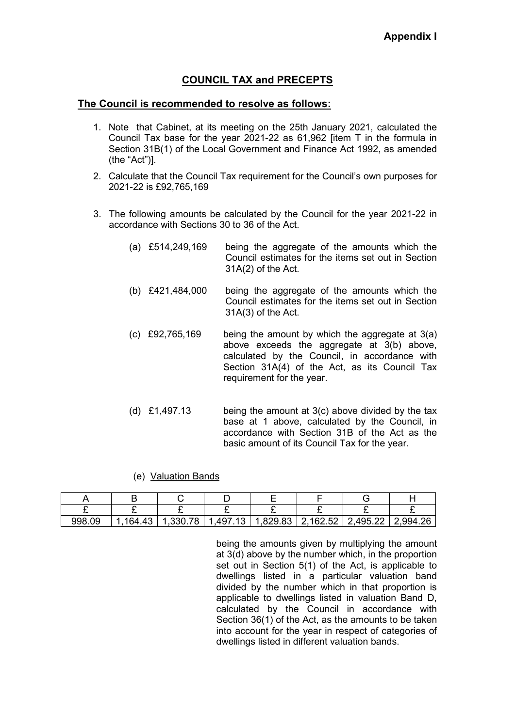# **COUNCIL TAX and PRECEPTS**

### **The Council is recommended to resolve as follows:**

- 1. Note that Cabinet, at its meeting on the 25th January 2021, calculated the Council Tax base for the year 2021-22 as 61,962 [item T in the formula in Section 31B(1) of the Local Government and Finance Act 1992, as amended (the "Act")].
- 2. Calculate that the Council Tax requirement for the Council's own purposes for 2021-22 is £92,765,169
- 3. The following amounts be calculated by the Council for the year 2021-22 in accordance with Sections 30 to 36 of the Act.
	- (a) £514,249,169 being the aggregate of the amounts which the Council estimates for the items set out in Section 31A(2) of the Act.
	- (b) £421,484,000 being the aggregate of the amounts which the Council estimates for the items set out in Section 31A(3) of the Act.
	- (c) £92,765,169 being the amount by which the aggregate at 3(a) above exceeds the aggregate at 3(b) above, calculated by the Council, in accordance with Section 31A(4) of the Act, as its Council Tax requirement for the year.
	- (d) £1,497.13 being the amount at 3(c) above divided by the tax base at 1 above, calculated by the Council, in accordance with Section 31B of the Act as the basic amount of its Council Tax for the year.

#### (e) Valuation Bands

| 998.09 | 164.43 | .330.78 | .497.13 | $1,829.83$   2,162.52 | .495.22 | 2,994.26 |
|--------|--------|---------|---------|-----------------------|---------|----------|

 being the amounts given by multiplying the amount at 3(d) above by the number which, in the proportion set out in Section 5(1) of the Act, is applicable to dwellings listed in a particular valuation band divided by the number which in that proportion is applicable to dwellings listed in valuation Band D, calculated by the Council in accordance with Section 36(1) of the Act, as the amounts to be taken into account for the year in respect of categories of dwellings listed in different valuation bands.